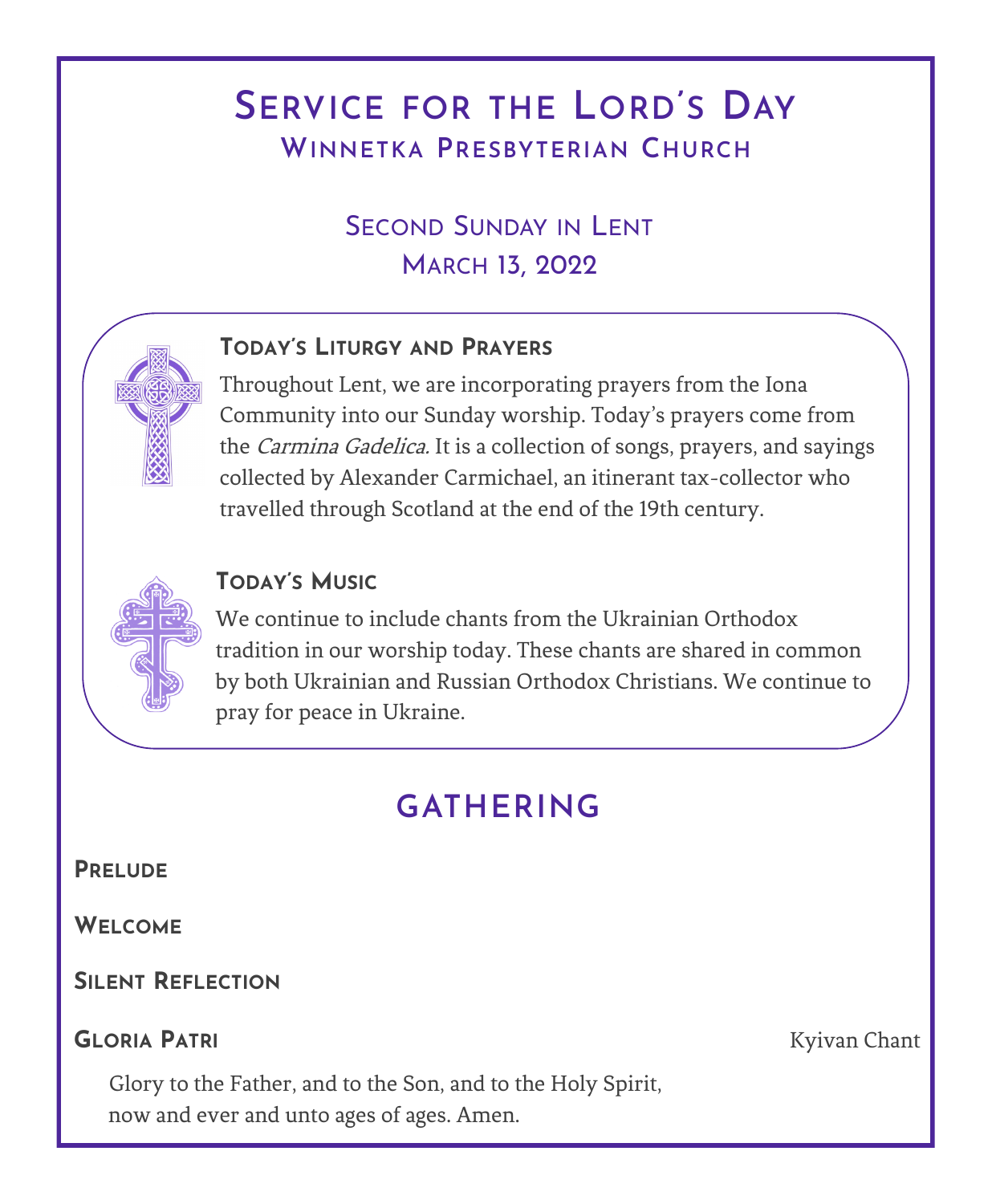# **SERVICE FOR THE LORD'S DAY WINNETKA PRESBYTERIAN CHURCH**

## SECOND SUNDAY IN LENT MARCH 13, 2022

## **TODAY'S LITURGY AND PRAYERS**

Throughout Lent, we are incorporating prayers from the Iona Community into our Sunday worship. Today's prayers come from the *Carmina Gadelica*. It is a collection of songs, prayers, and sayings collected by Alexander Carmichael, an itinerant tax-collector who travelled through Scotland at the end of the 19th century.

## **TODAY'S MUSIC**

We continue to include chants from the Ukrainian Orthodox tradition in our worship today. These chants are shared in common by both Ukrainian and Russian Orthodox Christians. We continue to pray for peace in Ukraine.

# **GATHERING**

**PRELUDE**

**WELCOME**

**SILENT REFLECTION**

## **GLORIA PATRI** Kyivan Chant

Glory to the Father, and to the Son, and to the Holy Spirit, now and ever and unto ages of ages. Amen.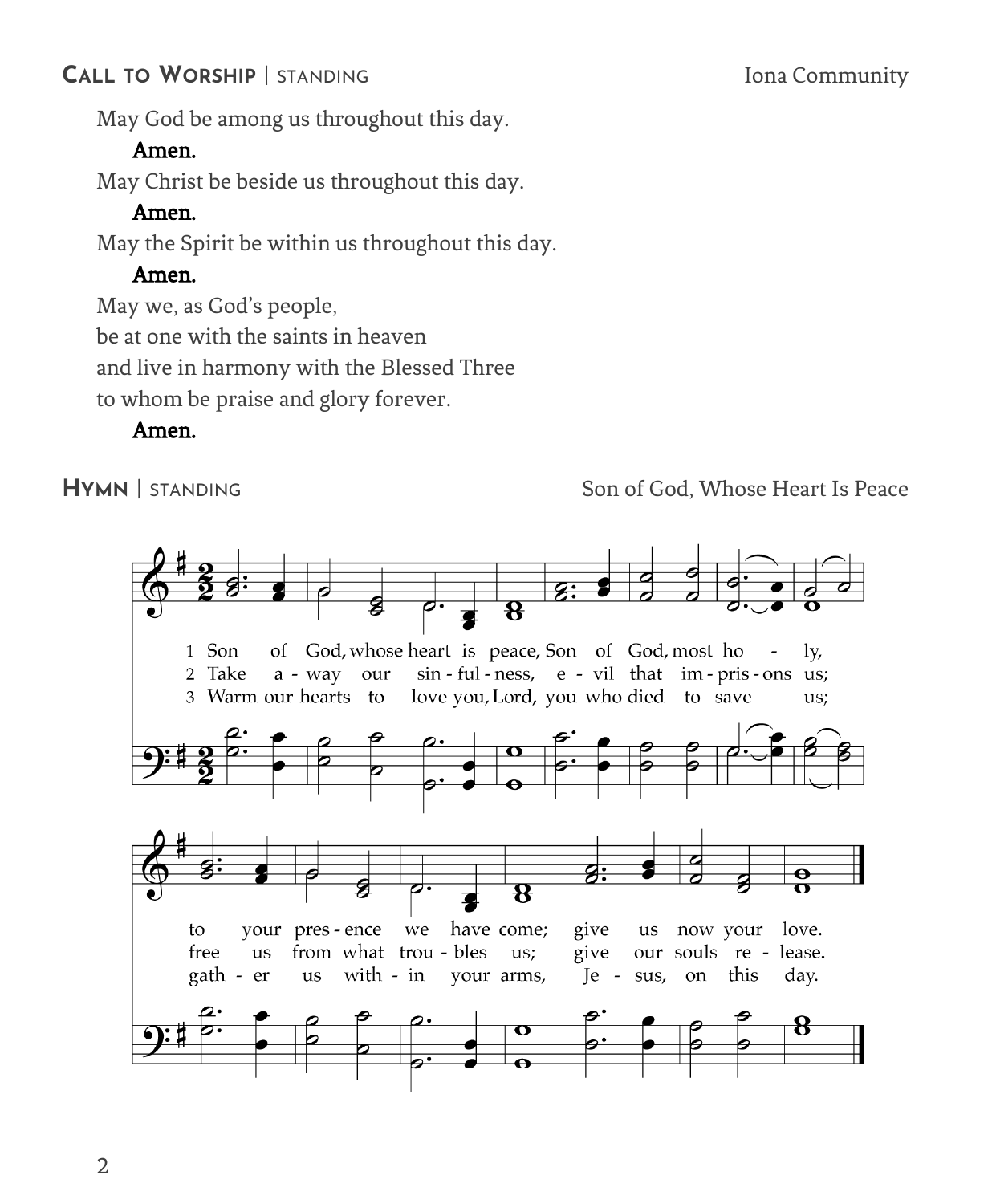## **CALL TO WORSHIP** | STANDING Iona Community

May God be among us throughout this day.

## Amen.

May Christ be beside us throughout this day.

## Amen.

May the Spirit be within us throughout this day.

## Amen.

May we, as God's people,

be at one with the saints in heaven

and live in harmony with the Blessed Three

to whom be praise and glory forever.

## Amen.

**HYMN** | STANDING Son of God, Whose Heart Is Peace

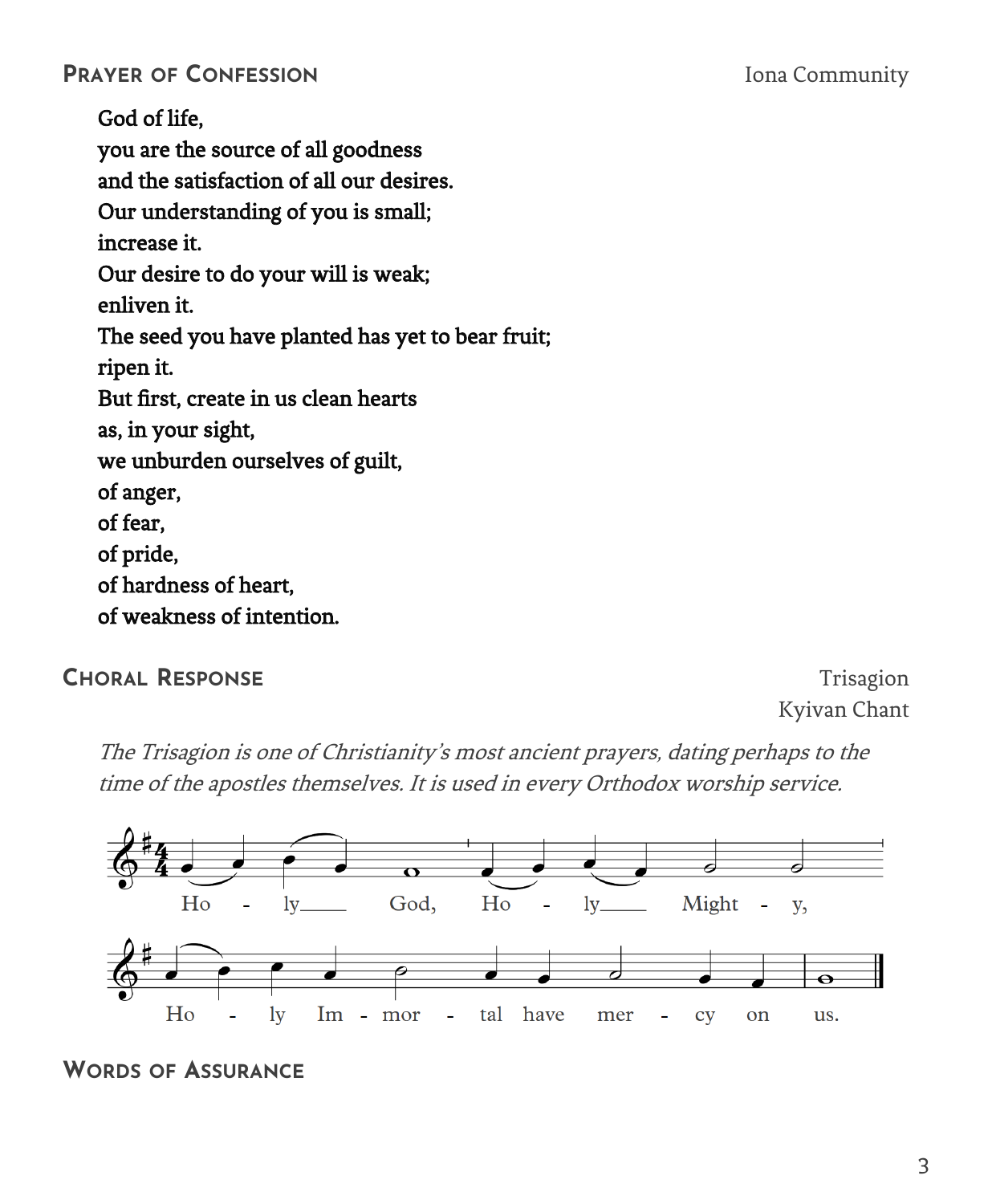God of life, you are the source of all goodness and the satisfaction of all our desires. Our understanding of you is small; increase it. Our desire to do your will is weak; enliven it. The seed you have planted has yet to bear fruit; ripen it. But first, create in us clean hearts as, in your sight, we unburden ourselves of guilt, of anger, of fear, of pride, of hardness of heart, of weakness of intention.

### **CHORAL RESPONSE** Trisagion

Kyivan Chant

The Trisagion is one of Christianity's most ancient prayers, dating perhaps to the time of the apostles themselves. It is used in every Orthodox worship service.



#### **WORDS OF ASSURANCE**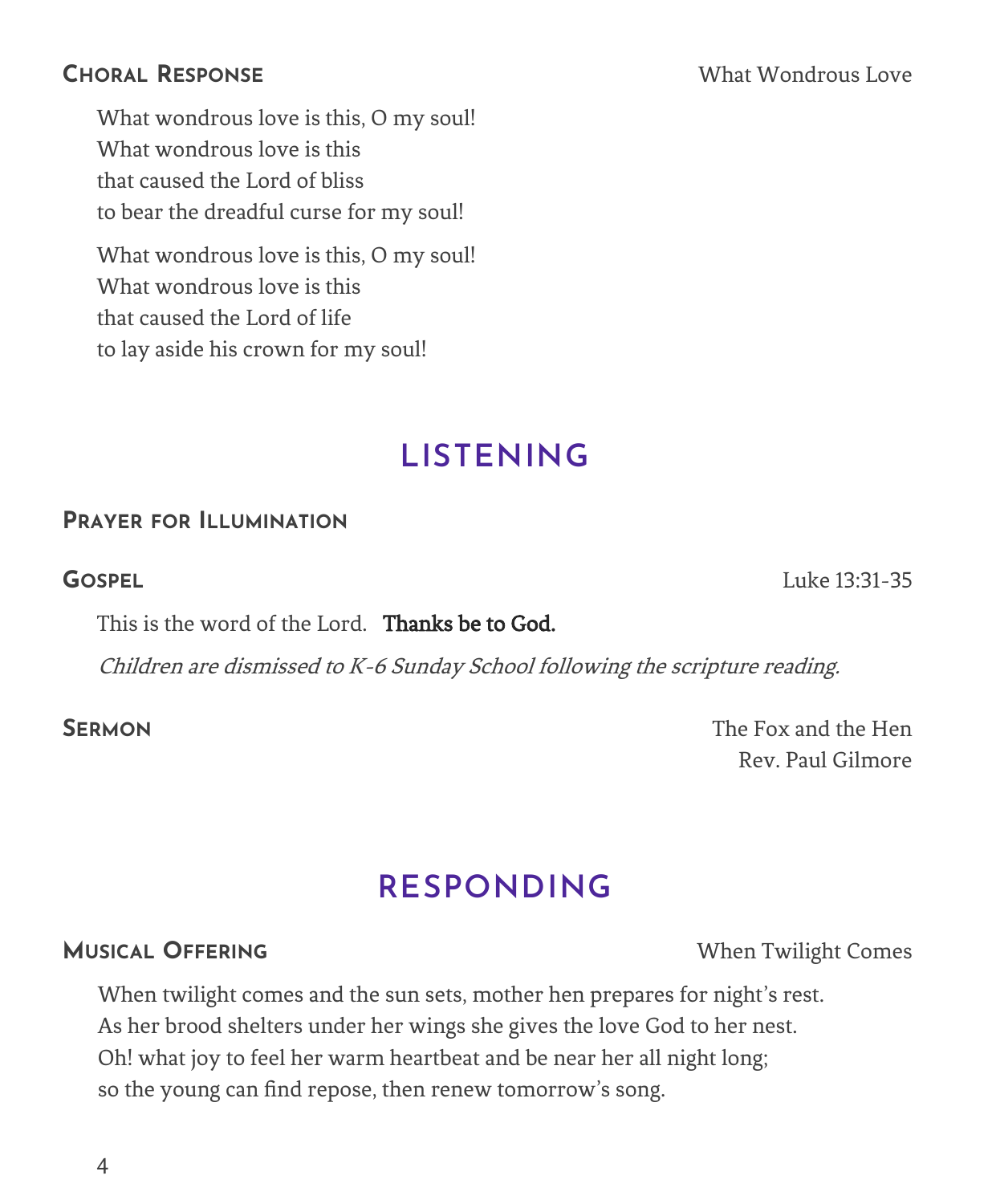What wondrous love is this, O my soul! What wondrous love is this that caused the Lord of bliss to bear the dreadful curse for my soul!

What wondrous love is this, O my soul! What wondrous love is this that caused the Lord of life to lay aside his crown for my soul!

## **LISTENING**

## **PRAYER FOR ILLUMINATION**

**GOSPEL** Luke 13:31-35

This is the word of the Lord. Thanks be to God.

Children are dismissed to K-6 Sunday School following the scripture reading.

**SERMON** The Fox and the Hen Rev. Paul Gilmore

# **RESPONDING**

### **MUSICAL OFFERING** When Twilight Comes

When twilight comes and the sun sets, mother hen prepares for night's rest. As her brood shelters under her wings she gives the love God to her nest. Oh! what joy to feel her warm heartbeat and be near her all night long; so the young can find repose, then renew tomorrow's song.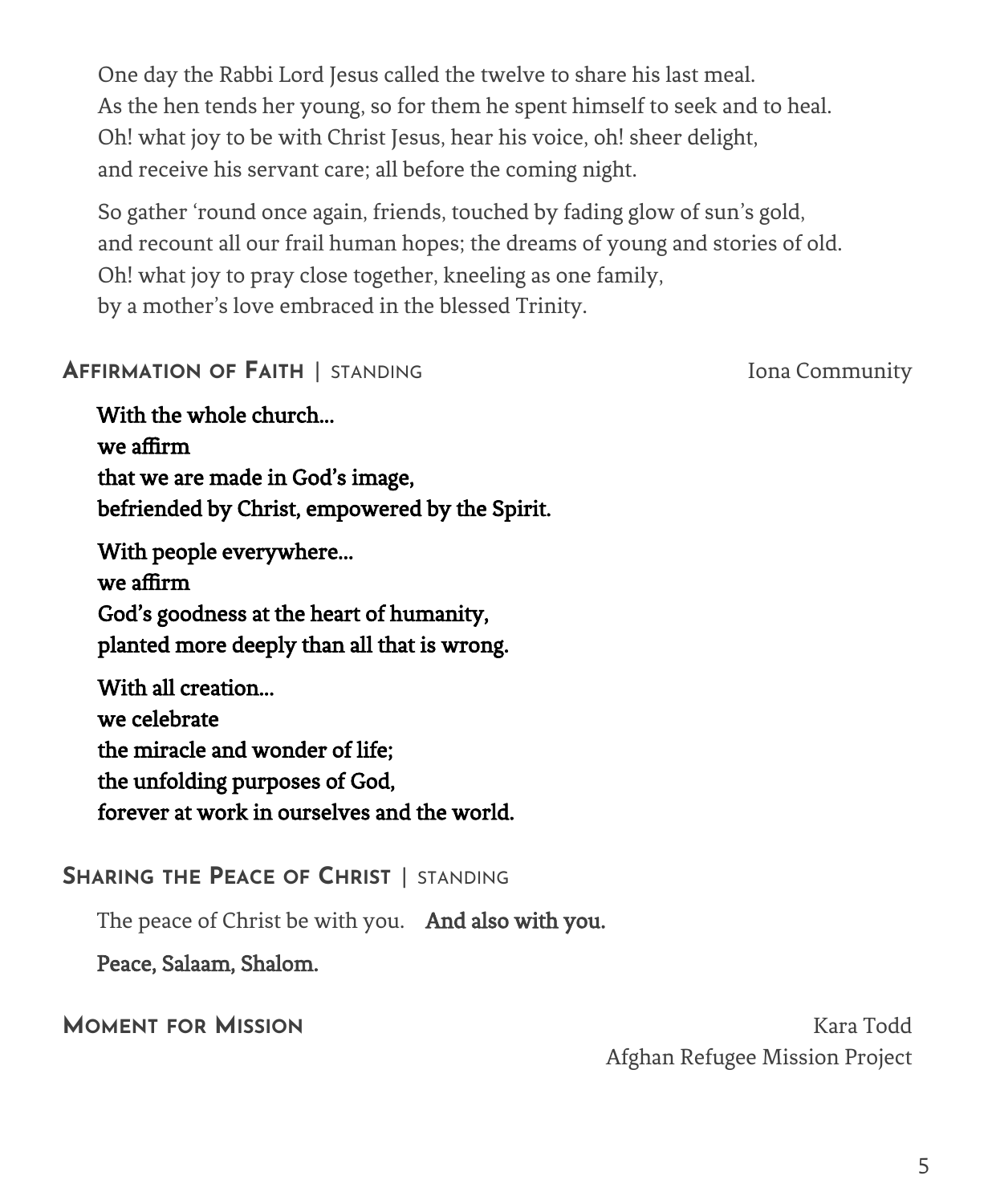One day the Rabbi Lord Jesus called the twelve to share his last meal. As the hen tends her young, so for them he spent himself to seek and to heal. Oh! what joy to be with Christ Jesus, hear his voice, oh! sheer delight, and receive his servant care; all before the coming night.

So gather 'round once again, friends, touched by fading glow of sun's gold, and recount all our frail human hopes; the dreams of young and stories of old. Oh! what joy to pray close together, kneeling as one family, by a mother's love embraced in the blessed Trinity.

### **AFFIRMATION OF FAITH** | STANDING Iona Community

With the whole church... we affirm that we are made in God's image, befriended by Christ, empowered by the Spirit.

 With people everywhere... we affirm God's goodness at the heart of humanity, planted more deeply than all that is wrong.

 With all creation... we celebrate the miracle and wonder of life; the unfolding purposes of God, forever at work in ourselves and the world.

## **SHARING THE PEACE OF CHRIST** | STANDING

The peace of Christ be with you. And also with you.

Peace, Salaam, Shalom.

**MOMENT FOR MISSION** Kara Todd Afghan Refugee Mission Project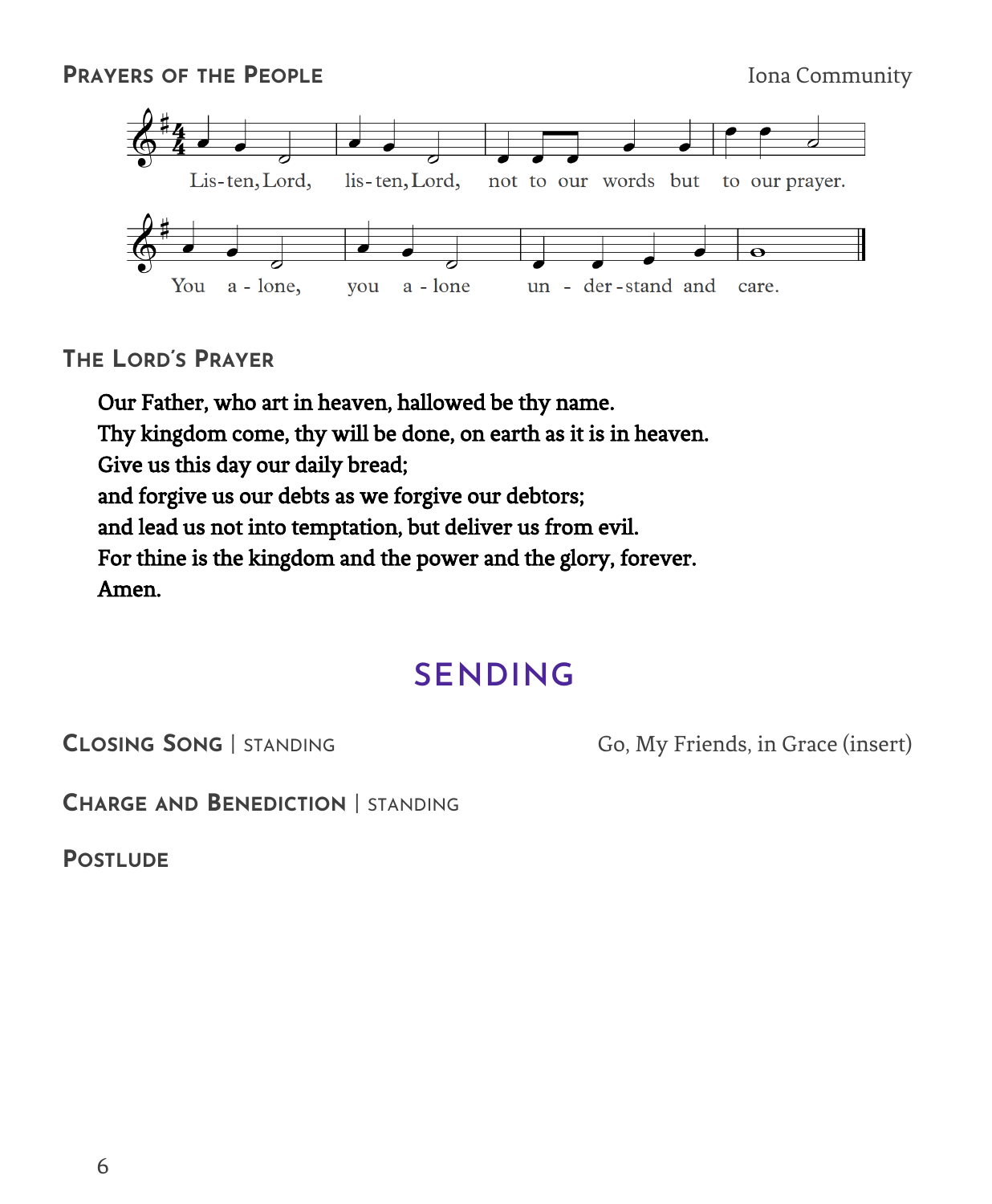

**THE LORD'S PRAYER**

Our Father, who art in heaven, hallowed be thy name. Thy kingdom come, thy will be done, on earth as it is in heaven. Give us this day our daily bread; and forgive us our debts as we forgive our debtors; and lead us not into temptation, but deliver us from evil. For thine is the kingdom and the power and the glory, forever. Amen.

## **SENDING**

**CLOSING SONG** | STANDING Go, My Friends, in Grace (insert)

**CHARGE AND BENEDICTION** | STANDING

**POSTLUDE**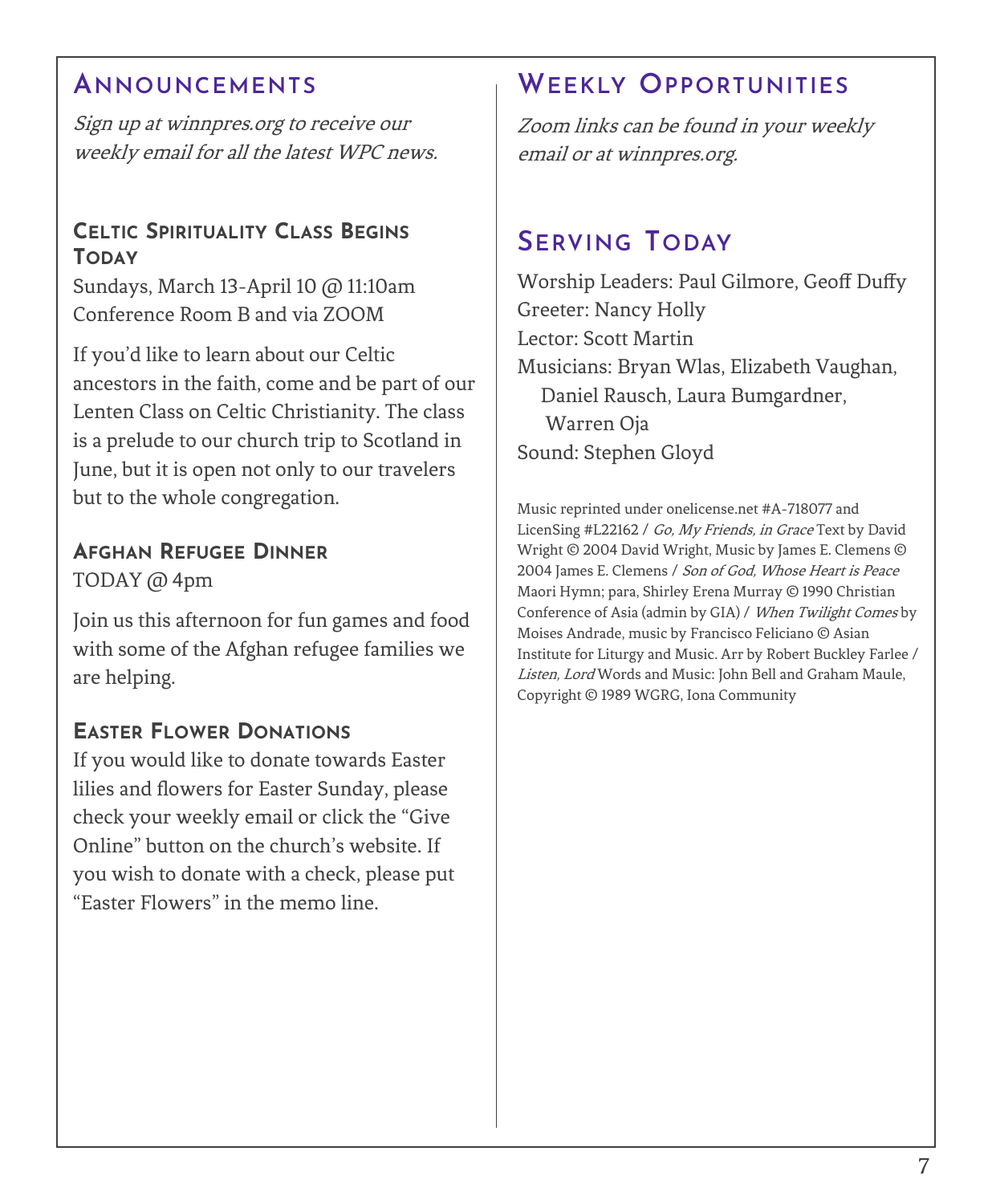## **ANNOUNCEMENTS**

Sign up at winnpres.org to receive our weekly email for all the latest WPC news.

#### **CELTIC SPIRITUALITY CLASS BEGINS TODAY**

Sundays, March 13-April 10 @ 11:10am Conference Room B and via ZOOM

If you'd like to learn about our Celtic ancestors in the faith, come and be part of our Lenten Class on Celtic Christianity. The class is a prelude to our church trip to Scotland in June, but it is open not only to our travelers but to the whole congregation.

#### **AFGHAN REFUGEE DINNER** TODAY @ 4pm

Join us this afternoon for fun games and food with some of the Afghan refugee families we are helping.

### **EASTER FLOWER DONATIONS**

If you would like to donate towards Easter lilies and flowers for Easter Sunday, please check your weekly email or click the "Give Online" button on the church's website. If you wish to donate with a check, please put "Easter Flowers" in the memo line.

## **WEEKLY OPPORTUNITIES**

Zoom links can be found in your weekly email or at winnpres.org.

## **SERVING TODAY**

Worship Leaders: Paul Gilmore, Geoff Duffy Greeter: Nancy Holly Lector: Scott Martin Musicians: Bryan Wlas, Elizabeth Vaughan, Daniel Rausch, Laura Bumgardner, Warren Oja Sound: Stephen Gloyd

Music reprinted under onelicense.net #A-718077 and LicenSing #L22162 / Go, My Friends, in Grace Text by David Wright © 2004 David Wright, Music by James E. Clemens © 2004 James E. Clemens / Son of God, Whose Heart is Peace Maori Hymn; para, Shirley Erena Murray © 1990 Christian Conference of Asia (admin by GIA) / When Twilight Comes by Moises Andrade, music by Francisco Feliciano © Asian Institute for Liturgy and Music. Arr by Robert Buckley Farlee / Listen, Lord Words and Music: John Bell and Graham Maule, Copyright © 1989 WGRG, Iona Community